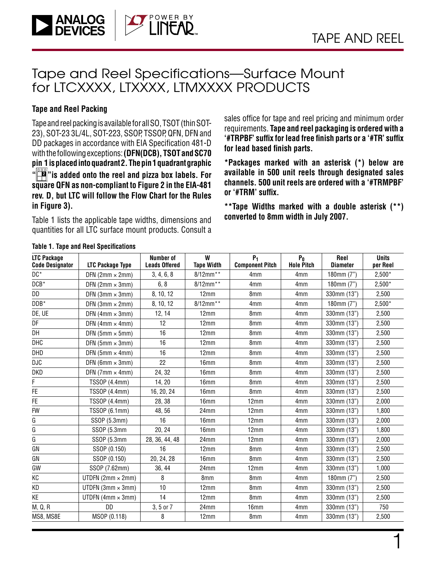1

### Tape and Reel Specifications—Surface Mount for LTCXXXX, LTXXXX, LTMXXXX PRODUCTS

### **Tape and Reel Packing**

**ANALOG**<br>DEVICES

Tape and reel packing is available for all SO, TSOT (thin SOT-23), SOT-23 3L/4L, SOT-223, SSOP, TSSOP, QFN, DFN and DD packages in accordance with EIA Specification 481-D with the following exceptions: **(DFN(DCB), TSOT and SC70 pin 1 is placed into quadrant 2. The pin 1 quadrant graphic " <sup>2</sup> "is added onto the reel and pizza box labels. For square QFN as non-compliant to Figure 2 in the EIA-481 rev. D, but LTC will follow the Flow Chart for the Rules in Figure 3).**

Table 1 lists the applicable tape widths, dimensions and quantities for all LTC surface mount products. Consult a sales office for tape and reel pricing and minimum order requirements. **Tape and reel packaging is ordered with a '#TRPBF' suffix for lead free finish parts or a '#TR' suffix for lead based finish parts.** 

**\*Packages marked with an asterisk (\*) below are available in 500 unit reels through designated sales channels. 500 unit reels are ordered with a '#TRMPBF' or '#TRM' suffix.**

**\*\*Tape Widths marked with a double asterisk (\*\*) converted to 8mm width in July 2007.**

| <b>LTC Package</b><br><b>Code Designator</b> | LTC Package Type         | Number of<br><b>Leads Offered</b> | W<br><b>Tape Width</b> | $P_1$<br><b>Component Pitch</b> | $P_0$<br><b>Hole Pitch</b> | Reel<br><b>Diameter</b> | <b>Units</b><br>per Reel |
|----------------------------------------------|--------------------------|-----------------------------------|------------------------|---------------------------------|----------------------------|-------------------------|--------------------------|
| DC*                                          | DFN $(2mm \times 2mm)$   | 3, 4, 6, 8                        | 8/12mm**               | 4mm                             | 4 <sub>mm</sub>            | 180mm (7")              | $2,500*$                 |
| $DCB^*$                                      | DFN $(2mm \times 3mm)$   | 6, 8                              | 8/12mm**               | 4mm                             | 4mm                        | 180mm (7")              | $2,500*$                 |
| DD                                           | DFN $(3mm \times 3mm)$   | 8, 10, 12                         | 12mm                   | 8mm                             | 4mm                        | 330mm (13")             | 2,500                    |
| $DDB*$                                       | DFN $(3mm \times 2mm)$   | 8, 10, 12                         | 8/12mm**               | 4mm                             | 4mm                        | 180mm $(7")$            | $2,500*$                 |
| DE, UE                                       | DFN $(4mm \times 3mm)$   | 12, 14                            | 12mm                   | 8mm                             | 4 <sub>mm</sub>            | 330mm (13")             | 2,500                    |
| DF                                           | DFN $(4mm \times 4mm)$   | 12                                | 12mm                   | 8mm                             | 4mm                        | 330mm (13")             | 2,500                    |
| DH                                           | DFN $(5mm \times 5mm)$   | 16                                | 12mm                   | 8mm                             | 4mm                        | 330mm (13")             | 2,500                    |
| DHC                                          | $DFN$ (5mm $\times$ 3mm) | 16                                | 12mm                   | 8mm                             | 4 <sub>mm</sub>            | 330mm (13")             | 2,500                    |
| DHD                                          | DFN $(5mm \times 4mm)$   | 16                                | 12mm                   | 8 <sub>mm</sub>                 | 4 <sub>mm</sub>            | 330mm (13")             | 2,500                    |
| DJC                                          | $DFN$ (6mm $\times$ 3mm) | 22                                | 16mm                   | 8mm                             | 4mm                        | 330mm (13")             | 2,500                    |
| DKD                                          | DFN $(7mm \times 4mm)$   | 24, 32                            | 16mm                   | 8mm                             | 4mm                        | 330mm (13")             | 2,500                    |
| F                                            | TSS0P (4.4mm)            | 14, 20                            | 16 <sub>mm</sub>       | 8mm                             | 4 <sub>mm</sub>            | 330mm (13")             | 2,500                    |
| FE                                           | TSS0P (4.4mm)            | 16, 20, 24                        | 16mm                   | 8mm                             | 4mm                        | 330mm (13")             | 2,500                    |
| FE.                                          | TSSOP (4.4mm)            | 28, 38                            | 16 <sub>mm</sub>       | 12mm                            | 4 <sub>mm</sub>            | 330mm (13")             | 2,000                    |
| <b>FW</b>                                    | TSSOP (6.1mm)            | 48, 56                            | 24 <sub>mm</sub>       | 12mm                            | 4mm                        | 330mm (13")             | 1,800                    |
| G                                            | SSOP (5.3mm)             | 16                                | 16mm                   | 12mm                            | 4mm                        | 330mm (13")             | 2,000                    |
| G                                            | SSOP (5.3mm              | 20, 24                            | 16 <sub>mm</sub>       | 12mm                            | 4 <sub>mm</sub>            | 330mm (13")             | 1,800                    |
| G                                            | SSOP (5.3mm              | 28, 36, 44, 48                    | 24mm                   | 12mm                            | 4 <sub>mm</sub>            | 330mm (13")             | 2,000                    |
| GN                                           | SSOP (0.150)             | 16                                | 12mm                   | 8mm                             | 4 <sub>mm</sub>            | 330mm (13")             | 2,500                    |
| GN                                           | SSOP (0.150)             | 20, 24, 28                        | 16mm                   | 8mm                             | 4mm                        | 330mm (13")             | 2,500                    |
| GW                                           | SSOP (7.62mm)            | 36, 44                            | 24mm                   | 12mm                            | 4 <sub>mm</sub>            | 330mm (13")             | 1,000                    |
| КC                                           | UTDFN $(2mm \times 2mm)$ | 8                                 | 8mm                    | 8mm                             | 4mm                        | 180mm $(7")$            | 2,500                    |
| KD                                           | UTDFN $(3mm \times 3mm)$ | 10                                | 12mm                   | 8mm                             | 4 <sub>mm</sub>            | 330mm (13")             | 2,500                    |
| ΚE                                           | UTDFN $(4mm \times 3mm)$ | 14                                | 12mm                   | 8mm                             | 4mm                        | 330mm (13")             | 2,500                    |
| M, Q, R                                      | DD                       | 3, 5 or 7                         | 24mm                   | 16mm                            | 4mm                        | 330mm (13")             | 750                      |
| MS8, MS8E                                    | MSOP (0.118)             | 8                                 | 12mm                   | 8mm                             | 4mm                        | 330mm (13")             | 2,500                    |

#### **Table 1. Tape and Reel Specifications**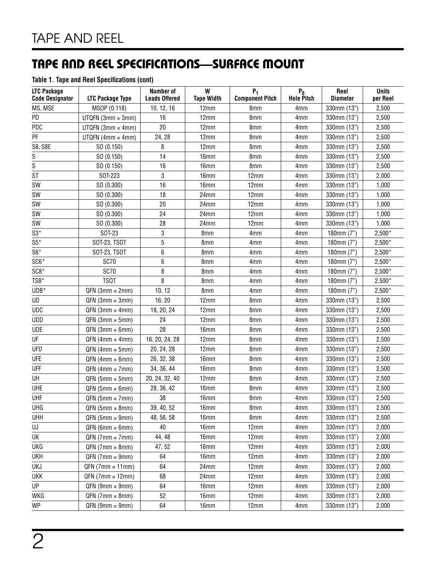### **Table 1. Tape and Reel Specifications (cont)**

| <b>LTC Package</b><br><b>Code Designator</b> | <b>LTC Package Type</b>   | <b>Number of</b><br><b>Leads Offered</b> | W<br><b>Tape Width</b> | $P_1$<br><b>Component Pitch</b> | $P_0$<br><b>Hole Pitch</b> | Reel<br><b>Diameter</b> | <b>Units</b><br>per Reel |
|----------------------------------------------|---------------------------|------------------------------------------|------------------------|---------------------------------|----------------------------|-------------------------|--------------------------|
| MS, MSE                                      | MSOP (0.118)              | 10, 12, 16                               | 12mm                   | 8mm                             | 4mm                        | 330mm (13")             | 2,500                    |
| PD                                           | UTQFN $(3mm \times 3mm)$  | 16                                       | 12mm                   | 8mm                             | 4 <sub>mm</sub>            | 330mm (13")             | 2,500                    |
| PDC                                          | UTQFN (3mm $\times$ 4mm)  | 20                                       | 12mm                   | 8mm                             | 4 <sub>mm</sub>            | 330mm (13")             | 2,500                    |
| PF                                           | UTQFN (4mm $\times$ 4mm)  | 24, 28                                   | 12mm                   | 8mm                             | 4 <sub>mm</sub>            | 330mm (13")             | 2,500                    |
| <b>S8, S8E</b>                               | SO (0.150)                | 8                                        | 12mm                   | 8mm                             | 4 <sub>mm</sub>            | 330mm (13")             | 2,500                    |
| S                                            | SO(0.150)                 | 14                                       | 16 <sub>mm</sub>       | 8mm                             | 4mm                        | 330mm (13")             | 2,500                    |
| $\overline{\mathsf{s}}$                      | SO (0.150)                | 16                                       | 16mm                   | 8 <sub>mm</sub>                 | 4mm                        | 330mm (13")             | 2,500                    |
| <b>ST</b>                                    | SOT-223                   | 3                                        | 16mm                   | 12mm                            | 4mm                        | 330mm (13")             | 2,000                    |
| SW                                           | SO (0.300)                | 16                                       | 16mm                   | 12mm                            | 4mm                        | 330mm (13")             | 1,000                    |
| SW                                           | SO (0.300)                | 18                                       | 24mm                   | 12mm                            | 4mm                        | 330mm (13")             | 1,000                    |
| SW                                           | SO (0.300)                | 20                                       | 24mm                   | 12mm                            | 4mm                        | 330mm (13")             | 1,000                    |
| SW                                           | SO (0.300)                | 24                                       | 24mm                   | 12mm                            | 4mm                        | 330mm (13")             | 1,000                    |
| <b>SW</b>                                    | SO (0.300)                | 28                                       | 24mm                   | 12mm                            | 4 <sub>mm</sub>            | 330mm (13")             | 1,000                    |
| $S3*$                                        | SOT-23                    | 3                                        | 8mm                    | 4 <sub>mm</sub>                 | 4mm                        | 180mm $(7")$            | $2,500*$                 |
| $S5*$                                        | SOT-23, TSOT              | 5                                        | 8mm                    | 4 <sub>mm</sub>                 | 4 <sub>mm</sub>            | 180mm (7")              | $2,500*$                 |
| $S6*$                                        | SOT-23, TSOT              | 6                                        | 8mm                    | 4mm                             | 4mm                        | 180mm (7")              | $2,500*$                 |
| SC6*                                         | <b>SC70</b>               | 6                                        | 8mm                    | 4mm                             | 4mm                        | 180mm $(7")$            | $2,500*$                 |
| $SC8*$                                       | SC70                      | 8                                        | 8mm                    | 4mm                             | 4 <sub>mm</sub>            | 180mm (7")              | $2,500*$                 |
| TS8*                                         | <b>TSOT</b>               | 8                                        | 8mm                    | 4 <sub>mm</sub>                 | 4 <sub>mm</sub>            | 180mm (7")              | $2,500*$                 |
| $UDB*$                                       | $QFN$ (3mm $\times$ 2mm)  | 10, 12                                   | 8mm                    | 4mm                             | 4 <sub>mm</sub>            | 180mm (7")              | $2,500*$                 |
| UD                                           | $QFN$ (3mm $\times$ 3mm)  | 16, 20                                   | 12mm                   | 8mm                             | 4 <sub>mm</sub>            | 330mm (13")             | 2,500                    |
| <b>UDC</b>                                   | $QFN$ (3mm $\times$ 4mm)  | 18, 20, 24                               | 12mm                   | 8mm                             | 4 <sub>mm</sub>            | 330mm (13")             | 2,500                    |
| <b>UDD</b>                                   | $QFN$ (3mm $\times$ 5mm)  | 24                                       | 12mm                   | 8mm                             | 4 <sub>mm</sub>            | 330mm (13")             | 2,500                    |
| <b>UDE</b>                                   | $QFN$ (3mm $\times$ 6mm)  | 28                                       | 16mm                   | 8mm                             | 4 <sub>mm</sub>            | 330mm (13")             | 2,500                    |
| UF                                           | $QFN$ (4mm $\times$ 4mm)  | 16, 20, 24, 28                           | 12mm                   | 8mm                             | 4 <sub>mm</sub>            | 330mm (13")             | 2,500                    |
| <b>UFD</b>                                   | $QFN$ (4mm $\times$ 5mm)  | 20, 24, 28                               | 12mm                   | 8mm                             | 4 <sub>mm</sub>            | 330mm (13")             | 2,500                    |
| <b>UFE</b>                                   | $QFN$ (4mm $\times$ 6mm)  | 26, 32, 38                               | 16mm                   | 8mm                             | 4 <sub>mm</sub>            | 330mm (13")             | 2,500                    |
| UFF                                          | $QFN$ (4mm $\times$ 7mm)  | 34, 36, 44                               | 16mm                   | 8mm                             | 4 <sub>mm</sub>            | 330mm (13")             | 2,500                    |
| UH                                           | $QFN$ (5mm $\times$ 5mm)  | 20, 24, 32, 40                           | 12mm                   | 8mm                             | 4 <sub>mm</sub>            | 330mm (13")             | 2,500                    |
| UHE                                          | $QFN$ (5mm $\times$ 6mm)  | 28, 36, 42                               | 16mm                   | 8mm                             | 4 <sub>mm</sub>            | 330mm (13")             | 2,500                    |
| UHF                                          | $QFN (5mm \times 7mm)$    | 38                                       | 16mm                   | 8mm                             | 4 <sub>mm</sub>            | 330mm (13")             | 2,500                    |
| UHG                                          | $QFN(5mm \times 8mm)$     | 39, 40, 52                               | 16mm                   | 8mm                             | 4mm                        | 330mm (13")             | 2,500                    |
| <b>UHH</b>                                   | $QFN$ (5mm $\times$ 9mm)  | 48, 56, 58                               | 16 <sub>mm</sub>       | 8mm                             | 4 <sub>mm</sub>            | 330mm (13")             | 2,500                    |
| UJ                                           | $QFN (6mm \times 6mm)$    | 40                                       | 16mm                   | 12mm                            | 4 <sub>mm</sub>            | 330mm (13")             | 2,000                    |
| UK                                           | $QFN$ (7mm $\times$ 7mm)  | 44, 48                                   | 16mm                   | 12mm                            | 4mm                        | 330mm (13")             | 2,000                    |
| UKG                                          | $QFN$ (7mm $\times$ 8mm)  | 47, 52                                   | 16 <sub>mm</sub>       | 12mm                            | 4mm                        | 330mm (13")             | 2,000                    |
| <b>UKH</b>                                   | $QFN$ (7mm $\times$ 9mm)  | 64                                       | 16mm                   | 12mm                            | 4mm                        | 330mm (13")             | 2,000                    |
| UKJ                                          | $QFN$ (7mm $\times$ 11mm) | 64                                       | 24mm                   | 12mm                            | 4mm                        | 330mm (13")             | 2,000                    |
| UKK                                          | $QFN$ (7mm $\times$ 12mm) | 68                                       | 24mm                   | 12mm                            | 4mm                        | 330mm (13")             | 2,000                    |
| UP                                           | $QFN$ (9mm $\times$ 9mm)  | 64                                       | 16 <sub>mm</sub>       | 12mm                            | 4 <sub>mm</sub>            | 330mm (13")             | 2,000                    |
| WKG                                          | $QFN$ (7mm $\times$ 8mm)  | 52                                       | 16mm                   | 12mm                            | 4mm                        | 330mm (13")             | 2,000                    |
| <b>WP</b>                                    | $QFN$ (9mm $\times$ 9mm)  | 64                                       | 16mm                   | 12mm                            | 4mm                        | 330mm (13")             | 2,000                    |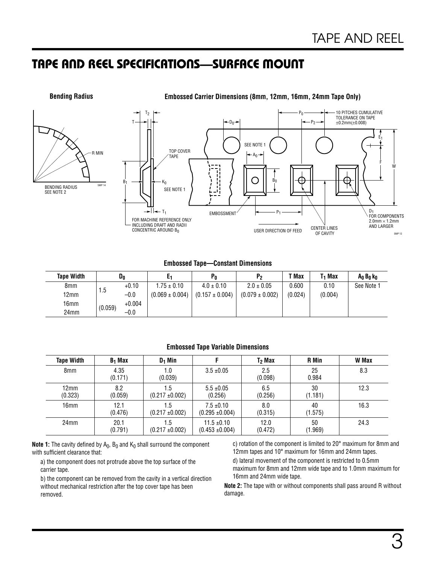

### **Embossed Tape—Constant Dimensions**

| <b>Tape Width</b> | Do      |          |                     | $P_0$               | Р,                  | T Max   | T1 Max  | A <sub>0</sub> B <sub>0</sub> k <sub>0</sub> |
|-------------------|---------|----------|---------------------|---------------------|---------------------|---------|---------|----------------------------------------------|
| 8mm               |         | $+0.10$  | $1.75 \pm 0.10$     | $4.0 \pm 0.10$      | $2.0 \pm 0.05$      | 0.600   | 0.10    | See Note 1                                   |
| 12mm              | 1.5     | $-0.0$   | $(0.069 \pm 0.004)$ | $(0.157 \pm 0.004)$ | $(0.079 \pm 0.002)$ | (0.024) | (0.004) |                                              |
| 16mm              | (0.059) | $+0.004$ |                     |                     |                     |         |         |                                              |
| 24mm              |         | $-0.0$   |                     |                     |                     |         |         |                                              |

#### **Embossed Tape Variable Dimensions**

| <b>Tape Width</b>         | $B_1$ Max       | $D_1$ Min                   |                                        | T <sub>2</sub> Max | <b>R</b> Min  | W Max |
|---------------------------|-----------------|-----------------------------|----------------------------------------|--------------------|---------------|-------|
| 8 <sub>mm</sub>           | 4.35<br>(0.171) | 0.1<br>(0.039)              | $3.5 \pm 0.05$                         | 2.5<br>(0.098)     | 25<br>0.984   | 8.3   |
| $12 \text{mm}$<br>(0.323) | 8.2<br>(0.059)  | 5،،<br>$(0.217 \pm 0.002)$  | $5.5 \pm 0.05$<br>(0.256)              | 6.5<br>(0.256)     | 30<br>(1.181) | 12.3  |
| 16mm                      | 12.1<br>(0.476) | i .5<br>$(0.217 \pm 0.002)$ | $7.5 \pm 0.10$<br>$(0.295 \pm 0.004)$  | 8.0<br>(0.315)     | 40<br>(1.575) | 16.3  |
| 24 <sub>mm</sub>          | 20.1<br>(0.791) | . 5<br>$(0.217 \pm 0.002)$  | $11.5 \pm 0.10$<br>$(0.453 \pm 0.004)$ | 12.0<br>(0.472)    | 50<br>(1.969) | 24.3  |

**Note 1:** The cavity defined by  $A_0$ ,  $B_0$  and  $K_0$  shall surround the component with sufficient clearance that:

a) the component does not protrude above the top surface of the carrier tape.

b) the component can be removed from the cavity in a vertical direction without mechanical restriction after the top cover tape has been removed.

c) rotation of the component is limited to 20° maximum for 8mm and 12mm tapes and 10° maximum for 16mm and 24mm tapes.

d) lateral movement of the component is restricted to 0.5mm maximum for 8mm and 12mm wide tape and to 1.0mm maximum for 16mm and 24mm wide tape.

**Note 2:** The tape with or without components shall pass around R without damage.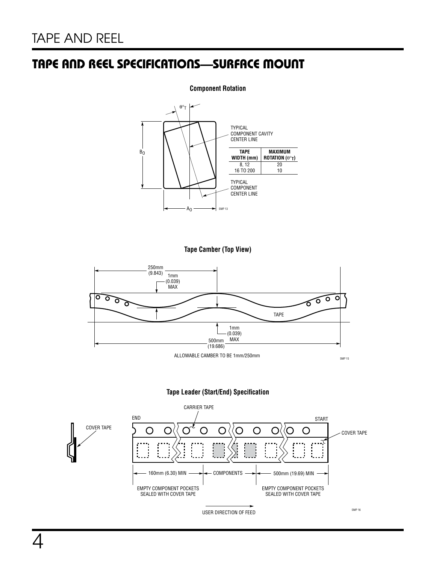#### **Component Rotation**



**Tape Camber (Top View)**



**Tape Leader (Start/End) Specification**

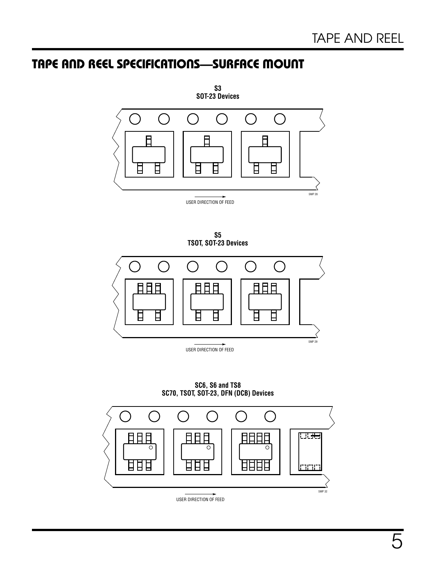

**S5**





**SC6, S6 and TS8 SC70, TSOT, SOT-23, DFN (DCB) Devices**

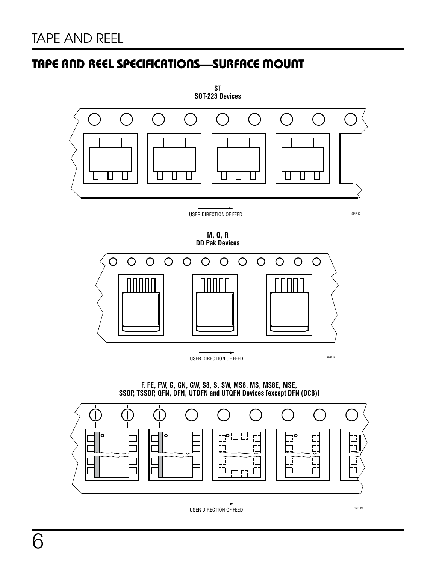

**M, Q, R DD Pak Devices**



**F, FE, FW, G, GN, GW, S8, S, SW, MS8, MS, MS8E, MSE, SSOP, TSSOP, QFN, DFN, UTDFN and UTQFN Devices [except DFN (DCB)]**



USER DIRECTION OF FEED SMP 19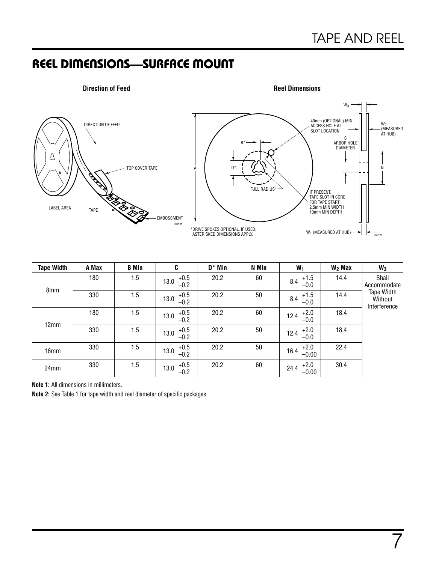7

### REEL DIMENSIONS—SURFACE MOUNT



| <b>Tape Width</b> | A Max | <b>B</b> MIn | C                        | $D^*$ Min | N MIn | $W_1$                     | $W2$ Max | $W_3$                                 |
|-------------------|-------|--------------|--------------------------|-----------|-------|---------------------------|----------|---------------------------------------|
| 8mm               | 180   | 1.5          | $+0.5$<br>13.0<br>$-0.2$ | 20.2      | 60    | $+1.5$<br>8.4<br>$-0.0$   | 14.4     | Shall<br>Accommodate                  |
|                   | 330   | 1.5          | $+0.5$<br>13.0<br>$-0.2$ | 20.2      | 50    | $+1.5$<br>8.4<br>$-0.0$   | 14.4     | Tape Width<br>Without<br>Interference |
|                   | 180   | 1.5          | $+0.5$<br>13.0<br>$-0.2$ | 20.2      | 60    | $+2.0$<br>12.4<br>$-0.0$  | 18.4     |                                       |
| 12mm              | 330   | 1.5          | $+0.5$<br>13.0<br>$-0.2$ | 20.2      | 50    | $+2.0$<br>12.4<br>$-0.0$  | 18.4     |                                       |
| 16mm              | 330   | 1.5          | $+0.5$<br>13.0<br>$-0.2$ | 20.2      | 50    | $+2.0$<br>16.4<br>$-0.00$ | 22.4     |                                       |
| 24mm              | 330   | 1.5          | $+0.5$<br>13.0<br>$-0.2$ | 20.2      | 60    | $+2.0$<br>24.4<br>$-0.00$ | 30.4     |                                       |

**Note 1:** All dimensions in millimeters.

**Note 2:** See Table 1 for tape width and reel diameter of specific packages.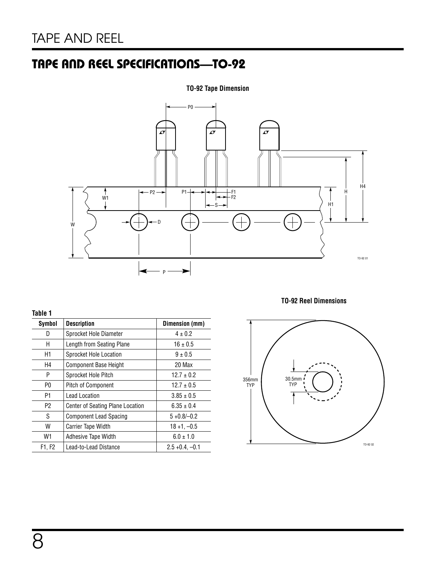# TAPE AND REEL SPECIFICATIONS—TO-92

### **TO-92 Tape Dimension**



#### **Table 1**

| Symbol         | <b>Description</b>                      | Dimension (mm)    |
|----------------|-----------------------------------------|-------------------|
| D              | Sprocket Hole Diameter                  | $4 + 0.2$         |
| Η              | Length from Seating Plane               | $16 \pm 0.5$      |
| H <sub>1</sub> | Sprocket Hole Location                  | $9 \pm 0.5$       |
| H4             | <b>Component Base Height</b>            | 20 Max            |
| P              | Sprocket Hole Pitch                     | $12.7 \pm 0.2$    |
| P0             | Pitch of Component                      | $12.7 \pm 0.5$    |
| P1             | <b>Lead Location</b>                    | $3.85 \pm 0.5$    |
| P2             | <b>Center of Seating Plane Location</b> | $6.35 \pm 0.4$    |
| S              | <b>Component Lead Spacing</b>           | $5 + 0.8/-0.2$    |
| W              | Carrier Tape Width                      | $18 + 1, -0.5$    |
| W1             | Adhesive Tape Width                     | $6.0 \pm 1.0$     |
| F1, F2         | Lead-to-Lead Distance                   | $2.5 + 0.4, -0.1$ |

**TO-92 Reel Dimensions**